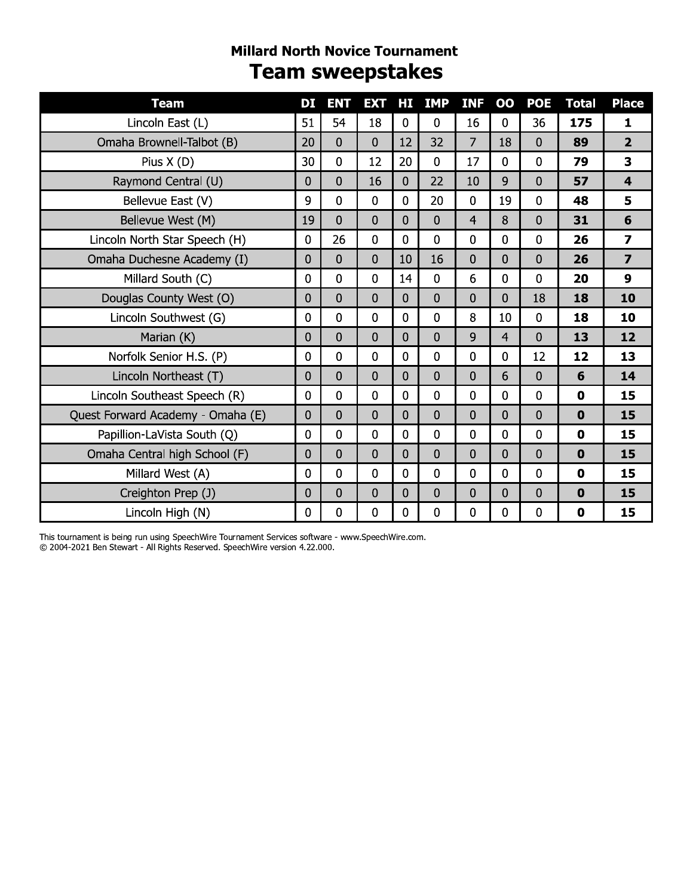### **Millard North Novice Tournament Team sweepstakes**

| <b>Team</b>                       | DІ             | <b>ENT</b>     | <b>EXT</b>     | HЦ             | <b>IMP</b>     | <b>INF</b>     | $\bf{00}$      | <b>POE</b>     | <b>Total</b> | <b>Place</b>            |
|-----------------------------------|----------------|----------------|----------------|----------------|----------------|----------------|----------------|----------------|--------------|-------------------------|
| Lincoln East (L)                  | 51             | 54             | 18             | $\overline{0}$ | 0              | 16             | $\Omega$       | 36             | 175          | 1                       |
| Omaha Brownell-Talbot (B)         | 20             | $\overline{0}$ | $\overline{0}$ | 12             | 32             | $\overline{7}$ | 18             | $\overline{0}$ | 89           | $\overline{2}$          |
| Pius $X(D)$                       | 30             | 0              | 12             | 20             | $\mathbf 0$    | 17             | $\mathbf 0$    | $\mathbf 0$    | 79           | 3                       |
| Raymond Central (U)               | 0              | $\overline{0}$ | 16             | $\overline{0}$ | 22             | 10             | 9              | $\mathbf{0}$   | 57           | $\overline{\mathbf{4}}$ |
| Bellevue East (V)                 | 9              | $\overline{0}$ | $\overline{0}$ | $\overline{0}$ | 20             | 0              | 19             | $\overline{0}$ | 48           | 5                       |
| Bellevue West (M)                 | 19             | $\overline{0}$ | $\overline{0}$ | $\Omega$       | $\overline{0}$ | $\overline{4}$ | 8              | $\overline{0}$ | 31           | 6                       |
| Lincoln North Star Speech (H)     | 0              | 26             | $\mathbf 0$    | 0              | $\mathbf 0$    | 0              | $\mathbf 0$    | $\overline{0}$ | 26           | $\overline{z}$          |
| Omaha Duchesne Academy (I)        | $\Omega$       | $\overline{0}$ | $\overline{0}$ | 10             | 16             | 0              | 0              | $\overline{0}$ | 26           | $\overline{\mathbf{z}}$ |
| Millard South (C)                 | $\overline{0}$ | $\overline{0}$ | $\mathbf 0$    | 14             | $\mathbf 0$    | 6              | $\mathbf 0$    | $\overline{0}$ | 20           | $\boldsymbol{9}$        |
| Douglas County West (O)           | 0              | 0              | $\overline{0}$ | $\overline{0}$ | $\overline{0}$ | $\overline{0}$ | 0              | 18             | 18           | 10                      |
| Lincoln Southwest (G)             | 0              | 0              | $\mathbf 0$    | 0              | 0              | 8              | 10             | $\mathbf 0$    | 18           | 10                      |
| Marian (K)                        | 0              | $\overline{0}$ | $\overline{0}$ | $\overline{0}$ | $\overline{0}$ | 9              | $\overline{4}$ | $\overline{0}$ | 13           | 12                      |
| Norfolk Senior H.S. (P)           | $\mathbf{0}$   | 0              | $\mathbf{0}$   | $\Omega$       | $\overline{0}$ | 0              | $\mathbf{0}$   | 12             | 12           | 13                      |
| Lincoln Northeast (T)             | 0              | 0              | $\overline{0}$ | $\mathbf 0$    | 0              | 0              | 6              | $\overline{0}$ | 6            | 14                      |
| Lincoln Southeast Speech (R)      | 0              | $\overline{0}$ | $\mathbf{0}$   | 0              | $\overline{0}$ | 0              | $\mathbf{0}$   | $\mathbf{0}$   | $\mathbf 0$  | 15                      |
| Quest Forward Academy - Omaha (E) | $\overline{0}$ | $\overline{0}$ | $\overline{0}$ | $\overline{0}$ | $\overline{0}$ | 0              | $\overline{0}$ | $\overline{0}$ | $\mathbf 0$  | 15                      |
| Papillion-LaVista South (Q)       | 0              | $\mathbf{0}$   | $\overline{0}$ | $\overline{0}$ | 0              | 0              | $\mathbf{0}$   | $\mathbf{0}$   | $\mathbf 0$  | 15                      |
| Omaha Central high School (F)     | 0              | $\overline{0}$ | $\overline{0}$ | $\overline{0}$ | $\Omega$       | $\overline{0}$ | $\Omega$       | $\overline{0}$ | $\mathbf 0$  | 15                      |
| Millard West (A)                  | 0              | $\overline{0}$ | $\mathbf 0$    | 0              | $\overline{0}$ | 0              | $\mathbf 0$    | $\overline{0}$ | $\mathbf 0$  | 15                      |
| Creighton Prep (J)                | $\overline{0}$ | $\overline{0}$ | $\mathbf 0$    | $\overline{0}$ | $\overline{0}$ | 0              | $\overline{0}$ | $\overline{0}$ | $\mathbf 0$  | 15                      |
| Lincoln High (N)                  | $\mathbf{0}$   | 0              | $\mathbf{0}$   | 0              | $\mathbf 0$    | 0              | $\overline{0}$ | $\mathbf{0}$   | $\mathbf 0$  | 15                      |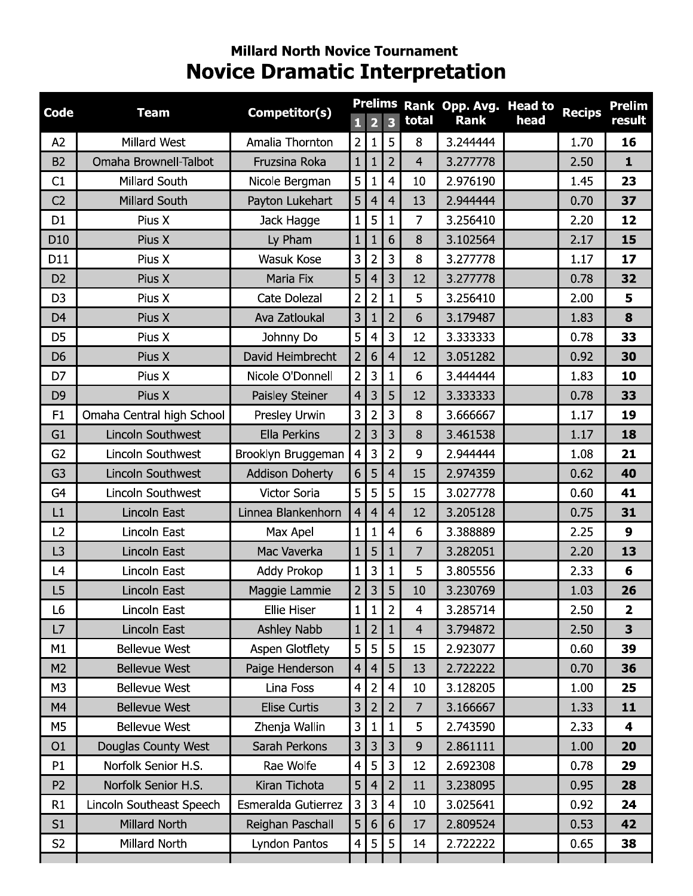# **Millard North Novice Tournament Novice Dramatic Interpretation**

| <b>Code</b>     | <b>Team</b>               | Competitor(s)          |                |                         |                         |                | Prelims Rank Opp. Avg. Head to |      | <b>Recips</b> | <b>Prelim</b>           |
|-----------------|---------------------------|------------------------|----------------|-------------------------|-------------------------|----------------|--------------------------------|------|---------------|-------------------------|
|                 |                           |                        |                | $\overline{\mathbf{2}}$ | $\overline{\mathbf{3}}$ | total          | <b>Rank</b>                    | head |               | <b>result</b>           |
| A2              | Millard West              | Amalia Thornton        | $\overline{2}$ | $\mathbf{1}$            | 5                       | 8              | 3.244444                       |      | 1.70          | 16                      |
| B <sub>2</sub>  | Omaha Brownell-Talbot     | Fruzsina Roka          | $\mathbf{1}$   | 1                       | $\overline{2}$          | $\overline{4}$ | 3.277778                       |      | 2.50          | $\mathbf{1}$            |
| C1              | Millard South             | Nicole Bergman         | 5              |                         | $\overline{4}$          | 10             | 2.976190                       |      | 1.45          | 23                      |
| C <sub>2</sub>  | Millard South             | Payton Lukehart        | 5              | 4                       | $\overline{4}$          | 13             | 2.944444                       |      | 0.70          | 37                      |
| D <sub>1</sub>  | Pius X                    | Jack Hagge             | $\mathbf{1}$   | 5                       | $\mathbf{1}$            | 7              | 3.256410                       |      | 2.20          | 12                      |
| D <sub>10</sub> | Pius X                    | Ly Pham                | 1              | 1                       | 6                       | 8              | 3.102564                       |      | 2.17          | 15                      |
| D11             | Pius X                    | Wasuk Kose             | 3              | $\overline{2}$          | $\overline{3}$          | 8              | 3.277778                       |      | 1.17          | 17                      |
| D <sub>2</sub>  | Pius X                    | Maria Fix              | 5              | 4                       | 3                       | 12             | 3.277778                       |      | 0.78          | 32                      |
| D <sub>3</sub>  | Pius X                    | Cate Dolezal           | $\overline{2}$ | $\overline{2}$          | $\mathbf{1}$            | 5              | 3.256410                       |      | 2.00          | 5                       |
| D <sub>4</sub>  | Pius X                    | Ava Zatloukal          | 3              |                         | $\overline{2}$          | 6              | 3.179487                       |      | 1.83          | 8                       |
| D5              | Pius X                    | Johnny Do              | 5              | 4                       | 3                       | 12             | 3.333333                       |      | 0.78          | 33                      |
| D <sub>6</sub>  | Pius X                    | David Heimbrecht       | $\overline{2}$ | 6                       | $\overline{4}$          | 12             | 3.051282                       |      | 0.92          | 30                      |
| D7              | Pius X                    | Nicole O'Donnell       | $\overline{2}$ | 3                       | $\mathbf{1}$            | 6              | 3.444444                       |      | 1.83          | 10                      |
| D <sub>9</sub>  | Pius X                    | Paisley Steiner        | $\overline{4}$ | 3                       | 5                       | 12             | 3.333333                       |      | 0.78          | 33                      |
| F1              | Omaha Central high School | Presley Urwin          | 3              | $\overline{2}$          | 3                       | 8              | 3.666667                       |      | 1.17          | 19                      |
| G1              | Lincoln Southwest         | Ella Perkins           | $\overline{2}$ | 3                       | 3                       | 8              | 3.461538                       |      | 1.17          | 18                      |
| G <sub>2</sub>  | Lincoln Southwest         | Brooklyn Bruggeman     | $\overline{4}$ | 3                       | $\overline{2}$          | 9              | 2.944444                       |      | 1.08          | 21                      |
| G <sub>3</sub>  | Lincoln Southwest         | <b>Addison Doherty</b> | 6              | 5                       | $\overline{4}$          | 15             | 2.974359                       |      | 0.62          | 40                      |
| G <sub>4</sub>  | Lincoln Southwest         | Victor Soria           | 5              | 5                       | 5                       | 15             | 3.027778                       |      | 0.60          | 41                      |
| L1              | Lincoln East              | Linnea Blankenhorn     | $\overline{4}$ | 4                       | $\overline{4}$          | 12             | 3.205128                       |      | 0.75          | 31                      |
| L2              | Lincoln East              | Max Apel               | $\mathbf{1}$   | 1                       | 4                       | $6\,$          | 3.388889                       |      | 2.25          | $\boldsymbol{9}$        |
| L <sub>3</sub>  | Lincoln East              | Mac Vaverka            | $\mathbf{1}$   | 5                       |                         | 7              | 3.282051                       |      | 2.20          | 13                      |
| L4              | Lincoln East              | Addy Prokop            | $\mathbf{1}$   | 3                       | $\mathbf{1}$            | 5              | 3.805556                       |      | 2.33          | 6                       |
| L <sub>5</sub>  | Lincoln East              | Maggie Lammie          | $\overline{2}$ | 3                       | 5                       | 10             | 3.230769                       |      | 1.03          | 26                      |
| L6              | Lincoln East              | <b>Ellie Hiser</b>     | $\mathbf{1}$   | 1                       | $\overline{2}$          | 4              | 3.285714                       |      | 2.50          | $\mathbf{2}$            |
| L7              | Lincoln East              | Ashley Nabb            | 1              | 2                       |                         | $\overline{4}$ | 3.794872                       |      | 2.50          | 3                       |
| M1              | <b>Bellevue West</b>      | Aspen Glotflety        | 5              | 5                       | 5                       | 15             | 2.923077                       |      | 0.60          | 39                      |
| M <sub>2</sub>  | <b>Bellevue West</b>      | Paige Henderson        | $\overline{4}$ | 4                       | 5                       | 13             | 2.722222                       |      | 0.70          | 36                      |
| M <sub>3</sub>  | <b>Bellevue West</b>      | Lina Foss              | $\overline{4}$ | $\overline{2}$          | $\overline{4}$          | 10             | 3.128205                       |      | 1.00          | 25                      |
| M4              | <b>Bellevue West</b>      | Elise Curtis           | 3              | $\overline{2}$          | $\overline{2}$          | $\overline{7}$ | 3.166667                       |      | 1.33          | 11                      |
| M5              | <b>Bellevue West</b>      | Zhenja Wallin          | 3              | 1                       | 1                       | 5              | 2.743590                       |      | 2.33          | $\overline{\mathbf{4}}$ |
| O <sub>1</sub>  | Douglas County West       | Sarah Perkons          | 3              | 3                       | 3                       | 9              | 2.861111                       |      | 1.00          | 20                      |
| P1              | Norfolk Senior H.S.       | Rae Wolfe              | 4              | 5                       | 3                       | 12             | 2.692308                       |      | 0.78          | 29                      |
| P <sub>2</sub>  | Norfolk Senior H.S.       | Kiran Tichota          | 5              | 4                       | $\overline{2}$          | 11             | 3.238095                       |      | 0.95          | 28                      |
| R1              | Lincoln Southeast Speech  | Esmeralda Gutierrez    | 3              | 3                       | $\overline{4}$          | 10             | 3.025641                       |      | 0.92          | 24                      |
| S1              | Millard North             | Reighan Paschall       | 5              | 6                       | 6                       | 17             | 2.809524                       |      | 0.53          | 42                      |
| S <sub>2</sub>  | Millard North             | Lyndon Pantos          | 4              | 5                       | 5                       | 14             | 2.722222                       |      | 0.65          | 38                      |
|                 |                           |                        |                |                         |                         |                |                                |      |               |                         |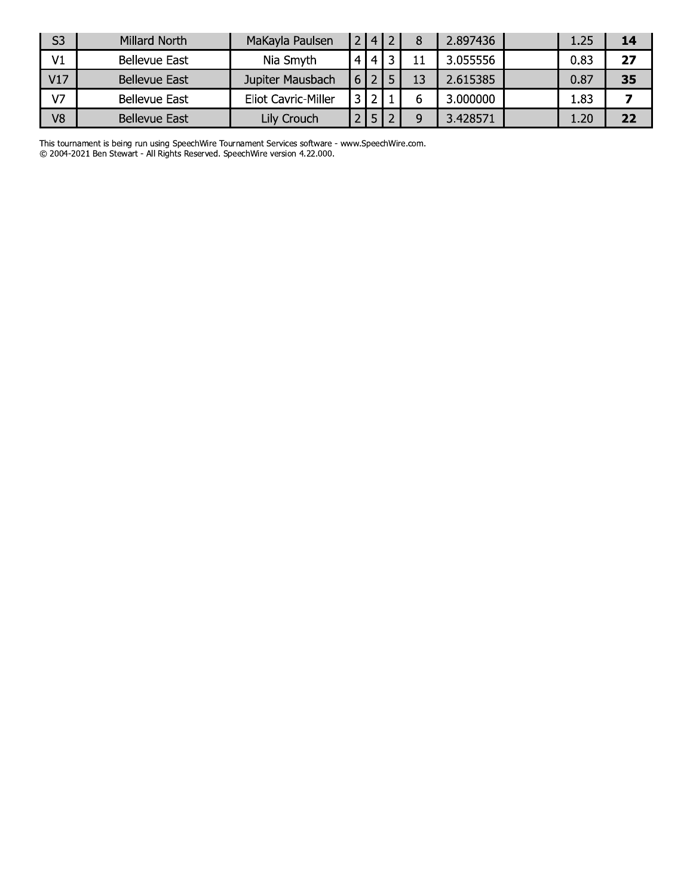| S <sub>3</sub> | Millard North        | MaKayla Paulsen            | $\overline{4}$ |   |    | 2.897436 | 1.25 | 14 |
|----------------|----------------------|----------------------------|----------------|---|----|----------|------|----|
| V1             | Bellevue East        | Nia Smyth                  | 4 I            | 2 |    | 3.055556 | 0.83 | 27 |
| V17            | <b>Bellevue East</b> | Jupiter Mausbach           |                |   | 13 | 2.615385 | 0.87 | 35 |
| V <sub>7</sub> | <b>Bellevue East</b> | <b>Eliot Cavric-Miller</b> |                |   | b  | 3.000000 | 1.83 |    |
| V <sub>8</sub> | <b>Bellevue East</b> | Lily Crouch                |                |   | a  | 3.428571 | 1.20 | 22 |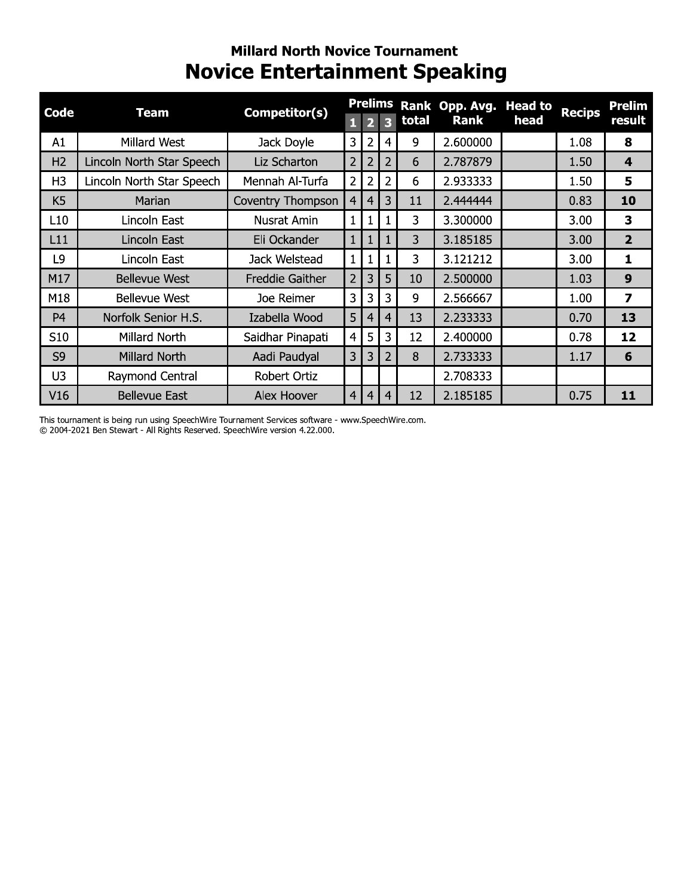### **Millard North Novice Tournament Novice Entertainment Speaking**

| Code           | <b>Team</b>               | Competitor(s)          |                |                |                |       | Prelims Rank Opp. Avg. | <b>Head to</b> |               | <b>Prelim</b>           |
|----------------|---------------------------|------------------------|----------------|----------------|----------------|-------|------------------------|----------------|---------------|-------------------------|
|                |                           |                        | ū              | P              | R              | total | <b>Rank</b>            | head           | <b>Recips</b> | result                  |
| A1             | Millard West              | Jack Doyle             | 3              | $\overline{2}$ | 4              | 9     | 2.600000               |                | 1.08          | 8                       |
| H <sub>2</sub> | Lincoln North Star Speech | Liz Scharton           | $\overline{2}$ | $\overline{2}$ | $\overline{2}$ | 6     | 2.787879               |                | 1.50          | $\overline{\mathbf{4}}$ |
| H <sub>3</sub> | Lincoln North Star Speech | Mennah Al-Turfa        | 2              | 2              | 2              | 6     | 2.933333               |                | 1.50          | 5                       |
| K <sub>5</sub> | Marian                    | Coventry Thompson      | 4              | 4              | 3              | 11    | 2.444444               |                | 0.83          | 10                      |
| L10            | Lincoln East              | <b>Nusrat Amin</b>     | 1              | 1              | 1              | 3     | 3.300000               |                | 3.00          | $\overline{\mathbf{3}}$ |
| L11            | Lincoln East              | Eli Ockander           |                |                |                | 3     | 3.185185               |                | 3.00          | $\overline{2}$          |
| L9             | Lincoln East              | Jack Welstead          | 1              | 1              | 1              | 3     | 3.121212               |                | 3.00          | $\mathbf{1}$            |
| M17            | <b>Bellevue West</b>      | <b>Freddie Gaither</b> | $\overline{2}$ | 3              | 5              | 10    | 2.500000               |                | 1.03          | 9                       |
| M18            | <b>Bellevue West</b>      | Joe Reimer             | 3              | 3              | 3              | 9     | 2.566667               |                | 1.00          | $\overline{z}$          |
| P <sub>4</sub> | Norfolk Senior H.S.       | Izabella Wood          | 5              | 4              | 4              | 13    | 2.233333               |                | 0.70          | 13                      |
| S10            | Millard North             | Saidhar Pinapati       | 4              | 5              | 3              | 12    | 2.400000               |                | 0.78          | 12                      |
| S <sub>9</sub> | <b>Millard North</b>      | Aadi Paudyal           | 3              | 3              | $\overline{2}$ | 8     | 2.733333               |                | 1.17          | 6                       |
| U3             | Raymond Central           | Robert Ortiz           |                |                |                |       | 2.708333               |                |               |                         |
| V16            | <b>Bellevue East</b>      | Alex Hoover            | $\overline{4}$ | 4              | 4              | 12    | 2.185185               |                | 0.75          | 11                      |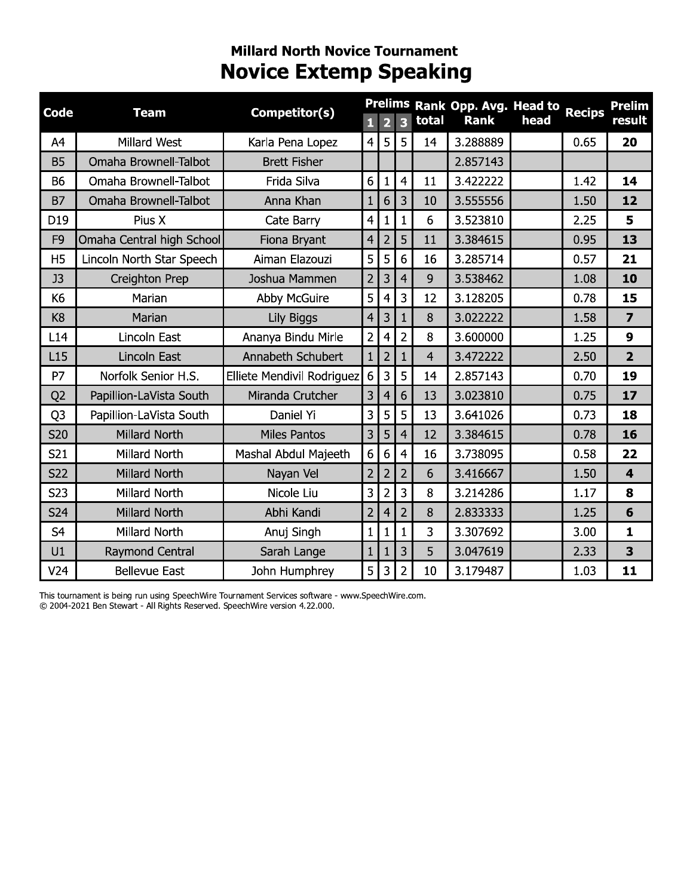### **Millard North Novice Tournament Novice Extemp Speaking**

| Code           | <b>Team</b>               | Competitor(s)              | 1               | $\overline{2}$ | $\overline{\mathbf{3}}$ | total          | Prelims Rank Opp. Avg. Head to<br><b>Rank</b> | head | <b>Recips</b> | <b>Prelim</b><br>result |
|----------------|---------------------------|----------------------------|-----------------|----------------|-------------------------|----------------|-----------------------------------------------|------|---------------|-------------------------|
| A4             | Millard West              | Karla Pena Lopez           | $\overline{4}$  | 5              | 5                       | 14             | 3.288889                                      |      | 0.65          | 20                      |
| <b>B5</b>      | Omaha Brownell-Talbot     | <b>Brett Fisher</b>        |                 |                |                         |                | 2.857143                                      |      |               |                         |
| <b>B6</b>      | Omaha Brownell-Talbot     | Frida Silva                | 6               | $\mathbf{1}$   | $\overline{4}$          | 11             | 3.422222                                      |      | 1.42          | 14                      |
| <b>B7</b>      | Omaha Brownell-Talbot     | Anna Khan                  | $\mathbf{1}$    | 6              | 3                       | 10             | 3.555556                                      |      | 1.50          | 12                      |
| D19            | Pius X                    | Cate Barry                 | $\overline{4}$  | 1              | $\mathbf{1}$            | 6              | 3.523810                                      |      | 2.25          | 5                       |
| F <sub>9</sub> | Omaha Central high School | Fiona Bryant               | 4               | $\overline{2}$ | 5                       | 11             | 3.384615                                      |      | 0.95          | 13                      |
| H <sub>5</sub> | Lincoln North Star Speech | Aiman Elazouzi             | 5               | 5              | $6\phantom{1}$          | 16             | 3.285714                                      |      | 0.57          | 21                      |
| J3             | Creighton Prep            | Joshua Mammen              | $\overline{2}$  | 3              | $\overline{4}$          | 9              | 3.538462                                      |      | 1.08          | 10                      |
| K6             | Marian                    | <b>Abby McGuire</b>        | 5               | 4              | 3                       | 12             | 3.128205                                      |      | 0.78          | 15                      |
| K <sub>8</sub> | Marian                    | Lily Biggs                 | 4               | 3              | $\mathbf{1}$            | 8              | 3.022222                                      |      | 1.58          | $\overline{\mathbf{z}}$ |
| L14            | Lincoln East              | Ananya Bindu Mirle         | $\overline{2}$  | 4              | $\overline{2}$          | 8              | 3.600000                                      |      | 1.25          | 9                       |
| L15            | Lincoln East              | Annabeth Schubert          | $\mathbf{1}$    | $\overline{2}$ | $\mathbf{1}$            | $\overline{4}$ | 3.472222                                      |      | 2.50          | $\overline{2}$          |
| P7             | Norfolk Senior H.S.       | Elliete Mendivil Rodriguez | $6\phantom{1}6$ | 3              | 5                       | 14             | 2.857143                                      |      | 0.70          | 19                      |
| Q <sub>2</sub> | Papillion-LaVista South   | Miranda Crutcher           | 3               | 4              | 6                       | 13             | 3.023810                                      |      | 0.75          | 17                      |
| Q <sub>3</sub> | Papillion-LaVista South   | Daniel Yi                  | 3               | 5              | 5                       | 13             | 3.641026                                      |      | 0.73          | 18                      |
| <b>S20</b>     | <b>Millard North</b>      | <b>Miles Pantos</b>        | 3               | 5              | $\overline{4}$          | 12             | 3.384615                                      |      | 0.78          | 16                      |
| S21            | Millard North             | Mashal Abdul Majeeth       | 6               | 6              | $\overline{4}$          | 16             | 3.738095                                      |      | 0.58          | 22                      |
| <b>S22</b>     | <b>Millard North</b>      | Nayan Vel                  | $\overline{2}$  | $\overline{2}$ | $\overline{2}$          | 6              | 3.416667                                      |      | 1.50          | $\overline{\mathbf{4}}$ |
| S23            | Millard North             | Nicole Liu                 | 3               | $\overline{2}$ | $\overline{3}$          | 8              | 3.214286                                      |      | 1.17          | 8                       |
| S24            | Millard North             | Abhi Kandi                 | $\overline{2}$  | 4              | $\overline{2}$          | 8              | 2.833333                                      |      | 1.25          | 6                       |
| S <sub>4</sub> | Millard North             | Anuj Singh                 | $\mathbf{1}$    | 1              | $\mathbf{1}$            | 3              | 3.307692                                      |      | 3.00          | $\mathbf{1}$            |
| U1             | Raymond Central           | Sarah Lange                | $\mathbf{1}$    | 1              | $\overline{3}$          | 5              | 3.047619                                      |      | 2.33          | 3                       |
| V24            | <b>Bellevue East</b>      | John Humphrey              | 5               | 3              | $\overline{2}$          | 10             | 3.179487                                      |      | 1.03          | 11                      |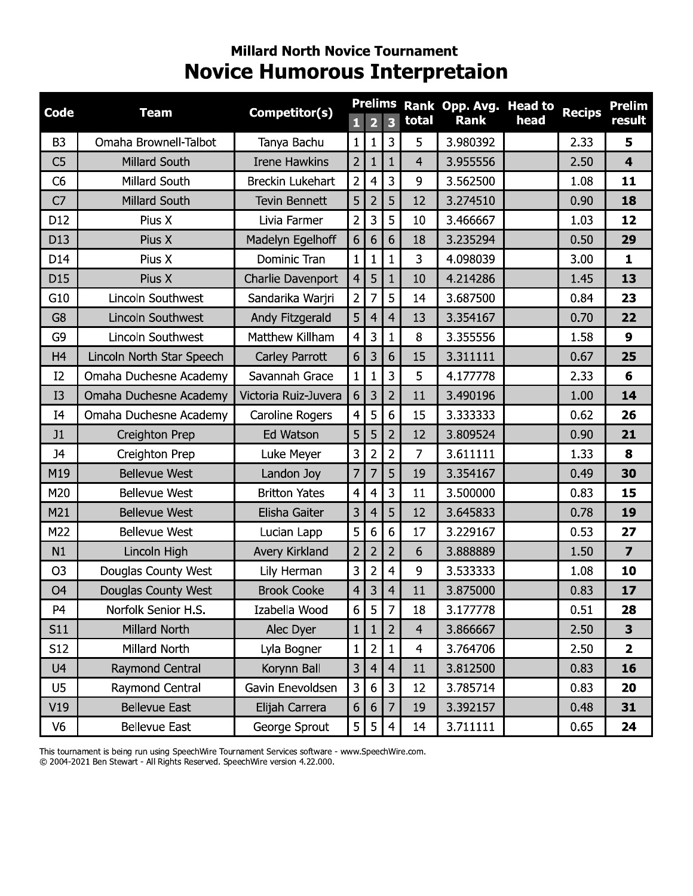### **Millard North Novice Tournament Novice Humorous Interpretaion**

| <b>Code</b>    | <b>Team</b>                | Competitor(s)           |                | <b>Prelims</b>          |                |                | Rank Opp. Avg. Head to |      | <b>Recips</b> | <b>Prelim</b>           |
|----------------|----------------------------|-------------------------|----------------|-------------------------|----------------|----------------|------------------------|------|---------------|-------------------------|
|                |                            |                         | $\mathbf{1}$   | $\overline{\mathbf{2}}$ | 3              | total          | <b>Rank</b>            | head |               | result                  |
| B <sub>3</sub> | Omaha Brownell-Talbot      | Tanya Bachu             | $\mathbf{1}$   | 1                       | 3              | 5              | 3.980392               |      | 2.33          | 5                       |
| C <sub>5</sub> | <b>Millard South</b>       | <b>Irene Hawkins</b>    | $\overline{2}$ | 1                       | 1              | $\overline{4}$ | 3.955556               |      | 2.50          | $\overline{\mathbf{4}}$ |
| C <sub>6</sub> | Millard South              | <b>Breckin Lukehart</b> | $\overline{c}$ | 4                       | 3              | 9              | 3.562500               |      | 1.08          | 11                      |
| C <sub>7</sub> | Millard South              | <b>Tevin Bennett</b>    | 5              | 2                       | 5              | 12             | 3.274510               |      | 0.90          | 18                      |
| D12            | Pius X                     | Livia Farmer            | $\overline{2}$ | 3                       | 5              | 10             | 3.466667               |      | 1.03          | 12                      |
| D13            | Pius X                     | Madelyn Egelhoff        | 6              | 6                       | 6              | 18             | 3.235294               |      | 0.50          | 29                      |
| D14            | Pius X                     | Dominic Tran            | $\mathbf{1}$   | 1                       | $\mathbf{1}$   | 3              | 4.098039               |      | 3.00          | $\mathbf{1}$            |
| D15            | Pius X                     | Charlie Davenport       | 4              | 5                       | 1              | 10             | 4.214286               |      | 1.45          | 13                      |
| G10            | Lincoln Southwest          | Sandarika Warjri        | $\overline{2}$ | 7                       | 5              | 14             | 3.687500               |      | 0.84          | 23                      |
| G <sub>8</sub> | Lincoln Southwest          | Andy Fitzgerald         | 5              | $\overline{4}$          | $\overline{4}$ | 13             | 3.354167               |      | 0.70          | 22                      |
| G9             | Lincoln Southwest          | Matthew Killham         | $\overline{4}$ | 3                       | 1              | 8              | 3.355556               |      | 1.58          | $\boldsymbol{9}$        |
| H <sub>4</sub> | Lincoln North Star Speech  | Carley Parrott          | 6              | 3                       | 6              | 15             | 3.311111               |      | 0.67          | 25                      |
| I2             | Omaha Duchesne Academy     | Savannah Grace          | $\mathbf{1}$   | 1                       | 3              | 5              | 4.177778               |      | 2.33          | 6                       |
| I3             | Omaha Duchesne Academy     | Victoria Ruiz-Juvera    | 6              | 3                       | $\overline{2}$ | 11             | 3.490196               |      | 1.00          | 14                      |
| I <sub>4</sub> | Omaha Duchesne Academy     | <b>Caroline Rogers</b>  | 4              | 5                       | 6              | 15             | 3.333333               |      | 0.62          | 26                      |
| J1             | Creighton Prep             | Ed Watson               | 5              | 5                       | $\overline{2}$ | 12             | 3.809524               |      | 0.90          | 21                      |
| <b>J4</b>      | Creighton Prep             | Luke Meyer              | 3              | $\overline{2}$          | $\overline{2}$ | $\overline{7}$ | 3.611111               |      | 1.33          | 8                       |
| M19            | <b>Bellevue West</b>       | Landon Joy              | $\overline{7}$ | 7                       | 5              | 19             | 3.354167               |      | 0.49          | 30                      |
| M20            | <b>Bellevue West</b>       | <b>Britton Yates</b>    | $\overline{a}$ | 4                       | 3              | 11             | 3.500000               |      | 0.83          | 15                      |
| M21            | <b>Bellevue West</b>       | Elisha Gaiter           | 3              | 4                       | 5              | 12             | 3.645833               |      | 0.78          | 19                      |
| M22            | <b>Bellevue West</b>       | Lucian Lapp             | 5              | 6                       | 6              | 17             | 3.229167               |      | 0.53          | 27                      |
| N1             | Lincoln High               | Avery Kirkland          | $\overline{2}$ | $\overline{2}$          | $\overline{2}$ | 6              | 3.888889               |      | 1.50          | $\overline{\mathbf{z}}$ |
| O <sub>3</sub> | Douglas County West        | Lily Herman             | 3              | $\overline{2}$          | 4              | 9              | 3.533333               |      | 1.08          | 10                      |
| O <sub>4</sub> | <b>Douglas County West</b> | <b>Brook Cooke</b>      | $\overline{4}$ | 3                       | 4              | 11             | 3.875000               |      | 0.83          | 17                      |
| P <sub>4</sub> | Norfolk Senior H.S.        | Izabella Wood           | 6              | 5 <sub>1</sub>          | $\overline{7}$ | 18             | 3.177778               |      | 0.51          | 28                      |
| S11            | Millard North              | Alec Dyer               | $\mathbf{1}$   |                         | $\overline{2}$ | $\overline{4}$ | 3.866667               |      | 2.50          | 3                       |
| S12            | Millard North              | Lyla Bogner             | $\mathbf{1}$   | $\overline{2}$          | 1              | $\overline{4}$ | 3.764706               |      | 2.50          | $\overline{2}$          |
| U4             | Raymond Central            | Korynn Ball             | 3              | 4                       | $\overline{4}$ | 11             | 3.812500               |      | 0.83          | 16                      |
| U5             | Raymond Central            | Gavin Enevoldsen        | $\mathbf{3}$   | $6\phantom{1}6$         | 3              | 12             | 3.785714               |      | 0.83          | 20                      |
| V19            | <b>Bellevue East</b>       | Elijah Carrera          | 6              | 6                       | 7              | 19             | 3.392157               |      | 0.48          | 31                      |
| V <sub>6</sub> | <b>Bellevue East</b>       | George Sprout           | 5              | 5                       | 4              | 14             | 3.711111               |      | 0.65          | 24                      |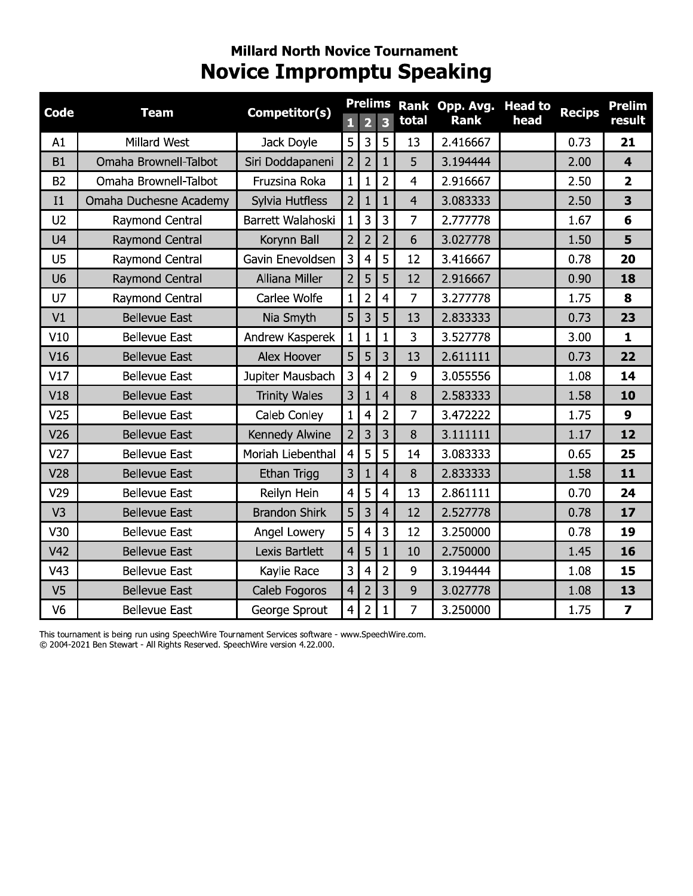### **Millard North Novice Tournament Novice Impromptu Speaking**

| <b>Code</b>    | <b>Team</b>            | Competitor(s)        |                |                | <b>Prelims</b>          |                | Rank Opp. Avg. | <b>Head to</b> | <b>Recips</b> | <b>Prelim</b>           |
|----------------|------------------------|----------------------|----------------|----------------|-------------------------|----------------|----------------|----------------|---------------|-------------------------|
|                |                        |                      |                | $\overline{2}$ | $\overline{\mathbf{3}}$ | total          | <b>Rank</b>    | head           |               | result                  |
| A1             | Millard West           | Jack Doyle           | 5              | 3              | 5                       | 13             | 2.416667       |                | 0.73          | 21                      |
| <b>B1</b>      | Omaha Brownell-Talbot  | Siri Doddapaneni     | $\overline{2}$ | $\overline{2}$ | $\mathbf{1}$            | 5              | 3.194444       |                | 2.00          | $\overline{\mathbf{4}}$ |
| <b>B2</b>      | Omaha Brownell-Talbot  | Fruzsina Roka        | $\mathbf{1}$   | $\mathbf{1}$   | $\overline{2}$          | 4              | 2.916667       |                | 2.50          | $\overline{\mathbf{2}}$ |
| I1             | Omaha Duchesne Academy | Sylvia Hutfless      | $\overline{2}$ | $\mathbf{1}$   | $\mathbf{1}$            | $\overline{4}$ | 3.083333       |                | 2.50          | 3                       |
| U <sub>2</sub> | Raymond Central        | Barrett Walahoski    | $\mathbf{1}$   | $\overline{3}$ | 3                       | 7              | 2.777778       |                | 1.67          | 6                       |
| U <sub>4</sub> | Raymond Central        | Korynn Ball          | $\overline{2}$ | $\overline{2}$ | $\overline{2}$          | 6              | 3.027778       |                | 1.50          | 5                       |
| U5             | Raymond Central        | Gavin Enevoldsen     | 3              | 4              | 5                       | 12             | 3.416667       |                | 0.78          | 20                      |
| U <sub>6</sub> | Raymond Central        | Alliana Miller       | $\overline{2}$ | 5              | 5                       | 12             | 2.916667       |                | 0.90          | 18                      |
| U7             | Raymond Central        | Carlee Wolfe         | $\mathbf{1}$   | $\overline{2}$ | $\overline{4}$          | $\overline{7}$ | 3.277778       |                | 1.75          | 8                       |
| V1             | <b>Bellevue East</b>   | Nia Smyth            | 5              | 3              | 5                       | 13             | 2.833333       |                | 0.73          | 23                      |
| V10            | <b>Bellevue East</b>   | Andrew Kasperek      | $\mathbf{1}$   | 1              | $\mathbf{1}$            | 3              | 3.527778       |                | 3.00          | $\mathbf{1}$            |
| V16            | <b>Bellevue East</b>   | Alex Hoover          | 5              | 5              | 3                       | 13             | 2.611111       |                | 0.73          | 22                      |
| V17            | <b>Bellevue East</b>   | Jupiter Mausbach     | 3              | $\overline{4}$ | $\overline{2}$          | 9              | 3.055556       |                | 1.08          | 14                      |
| V18            | <b>Bellevue East</b>   | <b>Trinity Wales</b> | 3              | $\mathbf{1}$   | $\overline{4}$          | 8              | 2.583333       |                | 1.58          | 10                      |
| V25            | <b>Bellevue East</b>   | Caleb Conley         | $\mathbf{1}$   | $\overline{4}$ | $\overline{2}$          | $\overline{7}$ | 3.472222       |                | 1.75          | $\mathbf{9}$            |
| V26            | <b>Bellevue East</b>   | Kennedy Alwine       | $\overline{2}$ | 3              | 3                       | 8              | 3.111111       |                | 1.17          | 12                      |
| V27            | <b>Bellevue East</b>   | Moriah Liebenthal    | $\overline{4}$ | 5              | 5                       | 14             | 3.083333       |                | 0.65          | 25                      |
| V28            | <b>Bellevue East</b>   | Ethan Trigg          | $\overline{3}$ | $\mathbf{1}$   | $\overline{4}$          | 8              | 2.833333       |                | 1.58          | 11                      |
| V29            | <b>Bellevue East</b>   | Reilyn Hein          | $\overline{4}$ | 5              | $\overline{4}$          | 13             | 2.861111       |                | 0.70          | 24                      |
| V <sub>3</sub> | <b>Bellevue East</b>   | <b>Brandon Shirk</b> | 5              | 3              | $\overline{4}$          | 12             | 2.527778       |                | 0.78          | 17                      |
| V30            | <b>Bellevue East</b>   | Angel Lowery         | 5              | $\overline{4}$ | 3                       | 12             | 3.250000       |                | 0.78          | 19                      |
| V42            | <b>Bellevue East</b>   | Lexis Bartlett       | $\overline{4}$ | 5              | $\mathbf{1}$            | 10             | 2.750000       |                | 1.45          | 16                      |
| V43            | <b>Bellevue East</b>   | Kaylie Race          | 3              | $\overline{4}$ | $\overline{2}$          | 9              | 3.194444       |                | 1.08          | 15                      |
| V <sub>5</sub> | <b>Bellevue East</b>   | Caleb Fogoros        | $\overline{4}$ | $\overline{2}$ | 3                       | 9              | 3.027778       |                | 1.08          | 13                      |
| V <sub>6</sub> | <b>Bellevue East</b>   | George Sprout        | 4              | $\overline{2}$ | $\mathbf{1}$            | 7              | 3.250000       |                | 1.75          | $\overline{\mathbf{z}}$ |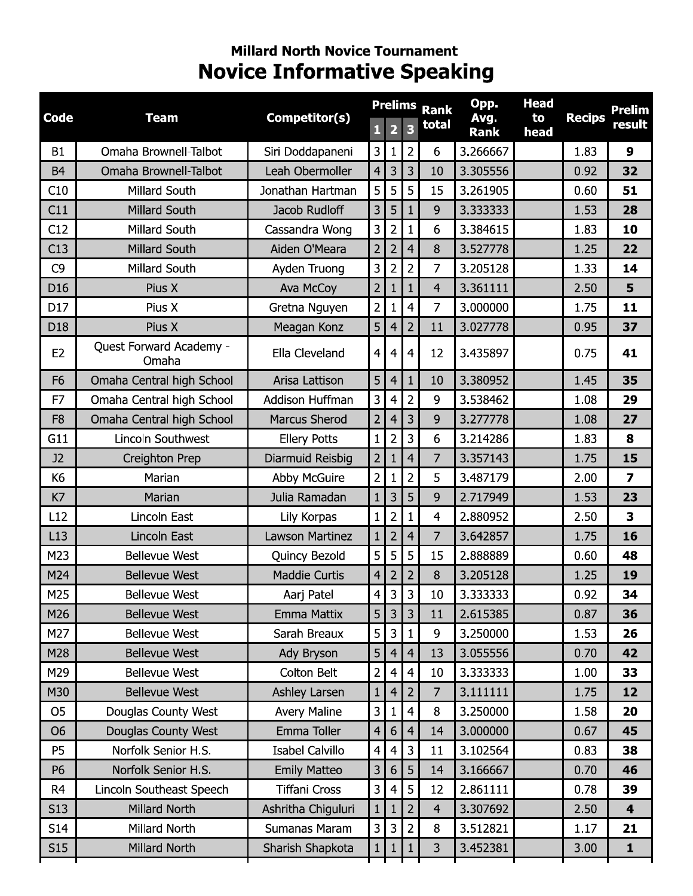# **Millard North Novice Tournament Novice Informative Speaking**

|                 |                                  |                        |                         | <b>Prelims</b>          |                | <b>Rank</b>    | Opp.         | <b>Head</b> |               | <b>Prelim</b>           |
|-----------------|----------------------------------|------------------------|-------------------------|-------------------------|----------------|----------------|--------------|-------------|---------------|-------------------------|
| <b>Code</b>     | <b>Team</b>                      | Competitor(s)          | $\mathbf{1}$            | $\overline{\mathbf{2}}$ | 3              | total          | Avg.<br>Rank | to<br>head  | <b>Recips</b> | result                  |
| <b>B1</b>       | Omaha Brownell-Talbot            | Siri Doddapaneni       | 3                       | 1                       | $\overline{2}$ | 6              | 3.266667     |             | 1.83          | 9                       |
| <b>B4</b>       | Omaha Brownell-Talbot            | Leah Obermoller        | $\overline{4}$          | 3                       | 3              | 10             | 3.305556     |             | 0.92          | 32                      |
| C10             | Millard South                    | Jonathan Hartman       | 5                       | 5                       | 5              | 15             | 3.261905     |             | 0.60          | 51                      |
| C11             | <b>Millard South</b>             | Jacob Rudloff          | 3                       | 5                       | $\mathbf{1}$   | 9              | 3.333333     |             | 1.53          | 28                      |
| C12             | Millard South                    | Cassandra Wong         | 3                       | $\overline{2}$          | $\mathbf{1}$   | 6              | 3.384615     |             | 1.83          | 10                      |
| C13             | Millard South                    | Aiden O'Meara          | $\overline{2}$          | $\overline{2}$          | $\overline{4}$ | 8              | 3.527778     |             | 1.25          | 22                      |
| C <sub>9</sub>  | Millard South                    | Ayden Truong           | 3                       | $\overline{2}$          | $\overline{2}$ | 7              | 3.205128     |             | 1.33          | 14                      |
| D <sub>16</sub> | Pius X                           | Ava McCoy              | $\overline{2}$          | 1                       | $\mathbf{1}$   | $\overline{4}$ | 3.361111     |             | 2.50          | 5                       |
| D17             | Pius X                           | Gretna Nguyen          | $\overline{2}$          | 1                       | 4              | 7              | 3.000000     |             | 1.75          | 11                      |
| D18             | Pius X                           | Meagan Konz            | 5                       | 4                       | $\overline{2}$ | 11             | 3.027778     |             | 0.95          | 37                      |
| E <sub>2</sub>  | Quest Forward Academy -<br>Omaha | Ella Cleveland         | $\overline{4}$          | $\overline{4}$          | 4              | 12             | 3.435897     |             | 0.75          | 41                      |
| F <sub>6</sub>  | Omaha Central high School        | Arisa Lattison         | 5                       | $\overline{4}$          | $\mathbf{1}$   | 10             | 3.380952     |             | 1.45          | 35                      |
| F7              | Omaha Central high School        | Addison Huffman        | 3                       | $\overline{4}$          | $\overline{2}$ | 9              | 3.538462     |             | 1.08          | 29                      |
| F <sub>8</sub>  | Omaha Central high School        | <b>Marcus Sherod</b>   | $\overline{2}$          | $\overline{4}$          | 3              | 9              | 3.277778     |             | 1.08          | 27                      |
| G11             | Lincoln Southwest                | <b>Ellery Potts</b>    | $\mathbf{1}$            | $\overline{2}$          | 3              | 6              | 3.214286     |             | 1.83          | 8                       |
| J2              | <b>Creighton Prep</b>            | Diarmuid Reisbig       | $\overline{2}$          | 1                       | 4              | 7              | 3.357143     |             | 1.75          | 15                      |
| K <sub>6</sub>  | Marian                           | <b>Abby McGuire</b>    | $\overline{2}$          | 1                       | $\overline{2}$ | 5              | 3.487179     |             | 2.00          | $\overline{\mathbf{z}}$ |
| K7              | Marian                           | Julia Ramadan          | 1                       | 3                       | 5              | 9              | 2.717949     |             | 1.53          | 23                      |
| L12             | Lincoln East                     | Lily Korpas            | $\mathbf{1}$            | $\overline{2}$          | $\mathbf{1}$   | 4              | 2.880952     |             | 2.50          | 3                       |
| L13             | Lincoln East                     | <b>Lawson Martinez</b> | $\mathbf{1}$            | $\overline{2}$          | 4              | 7              | 3.642857     |             | 1.75          | 16                      |
| M23             | <b>Bellevue West</b>             | Quincy Bezold          | 5                       | 5                       | 5              | 15             | 2.888889     |             | 0.60          | 48                      |
| M24             | <b>Bellevue West</b>             | <b>Maddie Curtis</b>   | $\overline{4}$          | $\overline{2}$          | $\overline{2}$ | 8              | 3.205128     |             | 1.25          | 19                      |
| M25             | <b>Bellevue West</b>             | Aarj Patel             | $\overline{4}$          | 3                       | 3              | 10             | 3.333333     |             | 0.92          | 34                      |
| M26             | <b>Bellevue West</b>             | Emma Mattix            | 5                       | 3                       | 3              | 11             | 2.615385     |             | 0.87          | 36                      |
| M27             | <b>Bellevue West</b>             | Sarah Breaux           | 5                       | 3                       | $\mathbf{1}$   | 9              | 3.250000     |             | 1.53          | 26                      |
| M28             | <b>Bellevue West</b>             | Ady Bryson             | 5                       | $\overline{4}$          | $\overline{4}$ | 13             | 3.055556     |             | 0.70          | 42                      |
| M29             | <b>Bellevue West</b>             | Colton Belt            | $\overline{\mathbf{c}}$ | $\overline{4}$          | 4              | 10             | 3.333333     |             | 1.00          | 33                      |
| M30             | <b>Bellevue West</b>             | Ashley Larsen          | $\mathbf{1}$            | $\overline{4}$          | $\overline{2}$ | $\overline{7}$ | 3.111111     |             | 1.75          | 12                      |
| O <sub>5</sub>  | Douglas County West              | <b>Avery Maline</b>    | 3                       | $\mathbf{1}$            | $\overline{4}$ | 8              | 3.250000     |             | 1.58          | 20                      |
| O <sub>6</sub>  | Douglas County West              | Emma Toller            | 4                       | 6                       | $\overline{4}$ | 14             | 3.000000     |             | 0.67          | 45                      |
| P <sub>5</sub>  | Norfolk Senior H.S.              | <b>Isabel Calvillo</b> | $\overline{4}$          | $\overline{4}$          | 3              | 11             | 3.102564     |             | 0.83          | 38                      |
| P <sub>6</sub>  | Norfolk Senior H.S.              | <b>Emily Matteo</b>    | 3                       | 6                       | 5              | 14             | 3.166667     |             | 0.70          | 46                      |
| R4              | Lincoln Southeast Speech         | <b>Tiffani Cross</b>   | 3                       | $\overline{4}$          | 5              | 12             | 2.861111     |             | 0.78          | 39                      |
| S <sub>13</sub> | Millard North                    | Ashritha Chiguluri     | $\mathbf{1}$            | 1                       | $\overline{2}$ | $\overline{4}$ | 3.307692     |             | 2.50          | $\overline{\mathbf{4}}$ |
| S14             | Millard North                    | Sumanas Maram          | 3                       | 3                       | $\overline{2}$ | 8              | 3.512821     |             | 1.17          | 21                      |
| S15             | Millard North                    | Sharish Shapkota       | $\mathbf{1}$            | $\mathbf{1}$            | $\mathbf{1}$   | 3              | 3.452381     |             | 3.00          | $\mathbf{1}$            |
|                 |                                  |                        |                         |                         |                |                |              |             |               |                         |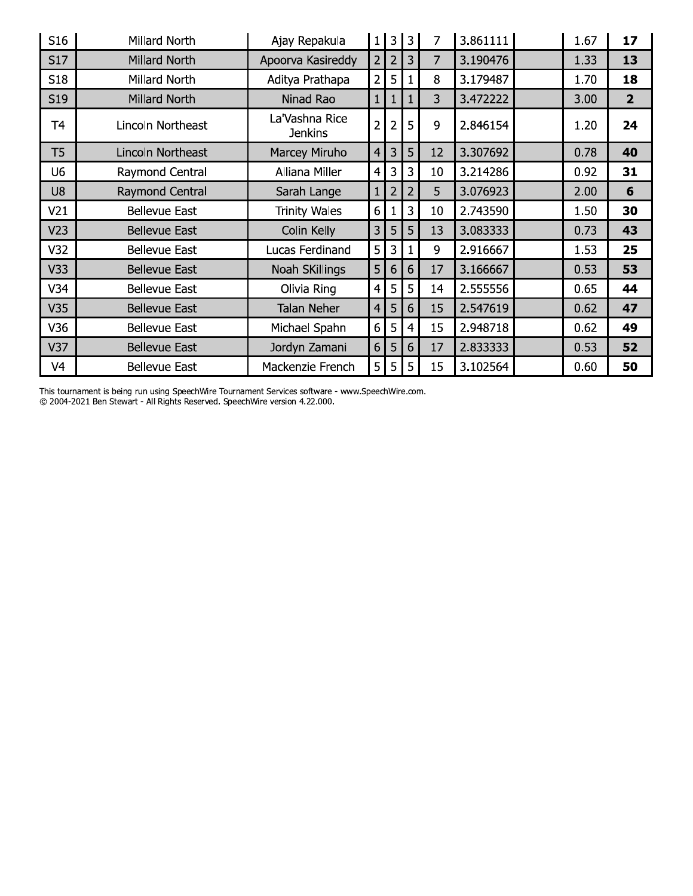| S16             | Millard North        | Ajay Repakula                    |                     | $1 \mid 3 \mid 3$ |   | 7  | 3.861111 | 1.67 | 17             |
|-----------------|----------------------|----------------------------------|---------------------|-------------------|---|----|----------|------|----------------|
| S17             | <b>Millard North</b> | Apoorva Kasireddy                | 2 <sup>1</sup>      | 2                 | 3 | 7  | 3.190476 | 1.33 | 13             |
| S18             | Millard North        | Aditya Prathapa                  | 2 <sup>1</sup>      | 5                 | 1 | 8  | 3.179487 | 1.70 | 18             |
| S <sub>19</sub> | Millard North        | Ninad Rao                        | $1 \ \overline{\ }$ | 1                 | 1 | 3  | 3.472222 | 3.00 | $\overline{2}$ |
| Т4              | Lincoln Northeast    | La'Vashna Rice<br><b>Jenkins</b> | 2                   | $\overline{2}$    | 5 | 9  | 2.846154 | 1.20 | 24             |
| T <sub>5</sub>  | Lincoln Northeast    | Marcey Miruho                    | 4 <sup>1</sup>      | 3                 | 5 | 12 | 3.307692 | 0.78 | 40             |
| U6              | Raymond Central      | Alliana Miller                   | $\overline{4}$      | 3                 | 3 | 10 | 3.214286 | 0.92 | 31             |
| U8              | Raymond Central      | Sarah Lange                      | $\mathbf{1}$        | 2                 | 2 | 5  | 3.076923 | 2.00 | 6              |
| V <sub>21</sub> | <b>Bellevue East</b> | <b>Trinity Wales</b>             | 6                   | 1                 | 3 | 10 | 2.743590 | 1.50 | 30             |
| V <sub>23</sub> | <b>Bellevue East</b> | Colin Kelly                      | $\overline{3}$      | 5                 | 5 | 13 | 3.083333 | 0.73 | 43             |
| V32             | <b>Bellevue East</b> | Lucas Ferdinand                  | 5                   | 3                 |   | 9  | 2.916667 | 1.53 | 25             |
| V33             | <b>Bellevue East</b> | Noah SKillings                   | 5                   | 6                 | 6 | 17 | 3.166667 | 0.53 | 53             |
| V34             | <b>Bellevue East</b> | Olivia Ring                      | 4                   | 5                 | 5 | 14 | 2.555556 | 0.65 | 44             |
| V35             | <b>Bellevue East</b> | <b>Talan Neher</b>               | $\overline{4}$      | 5                 | 6 | 15 | 2.547619 | 0.62 | 47             |
| V36             | <b>Bellevue East</b> | Michael Spahn                    | 6                   | 5                 | 4 | 15 | 2.948718 | 0.62 | 49             |
| V37             | <b>Bellevue East</b> | Jordyn Zamani                    | 6                   | 5                 | 6 | 17 | 2.833333 | 0.53 | 52             |
| V4              | <b>Bellevue East</b> | Mackenzie French                 | 5 I                 | 5 <sub>1</sub>    | 5 | 15 | 3.102564 | 0.60 | 50             |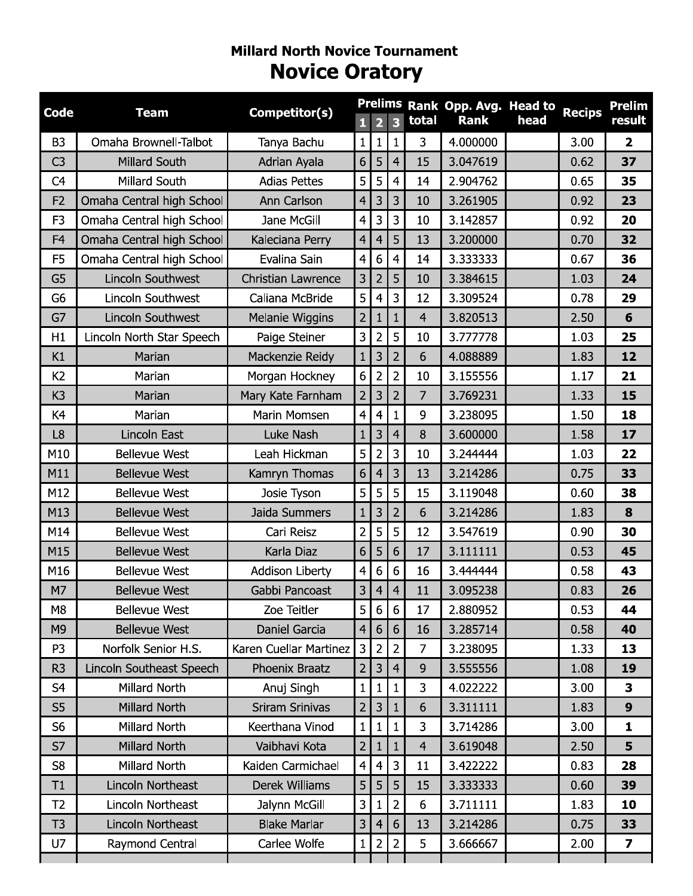# **Millard North Novice Tournament Novice Oratory**

| <b>Code</b>    | <b>Team</b>               | Competitor(s)             |                |                         |                         |                | Prelims Rank Opp. Avg. Head to |      | <b>Recips</b> | <b>Prelim</b>           |
|----------------|---------------------------|---------------------------|----------------|-------------------------|-------------------------|----------------|--------------------------------|------|---------------|-------------------------|
|                |                           |                           | $\mathbf{1}$   | $\overline{\mathbf{2}}$ | $\overline{\mathbf{3}}$ | total          | <b>Rank</b>                    | head |               | result                  |
| B <sub>3</sub> | Omaha Brownell-Talbot     | Tanya Bachu               | $\mathbf{1}$   | $\mathbf{1}$            | $\mathbf{1}$            | $\overline{3}$ | 4.000000                       |      | 3.00          | $\overline{2}$          |
| C <sub>3</sub> | <b>Millard South</b>      | Adrian Ayala              | 6              | 5                       | $\overline{4}$          | 15             | 3.047619                       |      | 0.62          | 37                      |
| C <sub>4</sub> | Millard South             | <b>Adias Pettes</b>       | 5              | 5                       | $\overline{4}$          | 14             | 2.904762                       |      | 0.65          | 35                      |
| F <sub>2</sub> | Omaha Central high School | Ann Carlson               | $\overline{4}$ | 3                       | 3                       | 10             | 3.261905                       |      | 0.92          | 23                      |
| F <sub>3</sub> | Omaha Central high School | Jane McGill               | $\overline{4}$ | 3                       | 3                       | 10             | 3.142857                       |      | 0.92          | 20                      |
| F <sub>4</sub> | Omaha Central high School | Kaleciana Perry           | $\overline{4}$ | $\overline{4}$          | 5                       | 13             | 3.200000                       |      | 0.70          | 32                      |
| F <sub>5</sub> | Omaha Central high School | Evalina Sain              | $\overline{4}$ | 6                       | $\overline{4}$          | 14             | 3.333333                       |      | 0.67          | 36                      |
| G <sub>5</sub> | Lincoln Southwest         | <b>Christian Lawrence</b> | 3              | $\overline{2}$          | 5                       | 10             | 3.384615                       |      | 1.03          | 24                      |
| G <sub>6</sub> | Lincoln Southwest         | Caliana McBride           | 5              | $\overline{4}$          | 3                       | 12             | 3.309524                       |      | 0.78          | 29                      |
| G7             | <b>Lincoln Southwest</b>  | Melanie Wiggins           | $\overline{2}$ | $\mathbf{1}$            | $\mathbf{1}$            | $\overline{4}$ | 3.820513                       |      | 2.50          | 6                       |
| H1             | Lincoln North Star Speech | Paige Steiner             | 3              | $\overline{2}$          | 5                       | 10             | 3.777778                       |      | 1.03          | 25                      |
| K1             | Marian                    | Mackenzie Reidy           | $\mathbf{1}$   | 3                       | $\overline{2}$          | 6              | 4.088889                       |      | 1.83          | 12                      |
| K <sub>2</sub> | Marian                    | Morgan Hockney            | 6              | $\overline{2}$          | $\overline{2}$          | 10             | 3.155556                       |      | 1.17          | 21                      |
| K <sub>3</sub> | Marian                    | Mary Kate Farnham         | $\overline{2}$ | $\overline{3}$          | $\overline{2}$          | $\overline{7}$ | 3.769231                       |      | 1.33          | 15                      |
| K4             | Marian                    | Marin Momsen              | $\overline{4}$ | $\overline{4}$          | $\mathbf{1}$            | 9              | 3.238095                       |      | 1.50          | 18                      |
| L <sub>8</sub> | Lincoln East              | Luke Nash                 | $\mathbf{1}$   | 3                       | $\overline{4}$          | 8              | 3.600000                       |      | 1.58          | 17                      |
| M10            | <b>Bellevue West</b>      | Leah Hickman              | 5              | $\overline{2}$          | 3                       | 10             | 3.244444                       |      | 1.03          | 22                      |
| M11            | <b>Bellevue West</b>      | Kamryn Thomas             | 6              | $\overline{4}$          | 3                       | 13             | 3.214286                       |      | 0.75          | 33                      |
| M12            | <b>Bellevue West</b>      | Josie Tyson               | 5              | 5                       | 5                       | 15             | 3.119048                       |      | 0.60          | 38                      |
| M13            | <b>Bellevue West</b>      | Jaida Summers             | $\mathbf{1}$   | 3                       | $\overline{2}$          | 6              | 3.214286                       |      | 1.83          | 8                       |
| M14            | <b>Bellevue West</b>      | Cari Reisz                | $\overline{2}$ | 5                       | 5                       | 12             | 3.547619                       |      | 0.90          | 30                      |
| M15            | <b>Bellevue West</b>      | Karla Diaz                | 6              | 5                       | 6                       | 17             | 3.111111                       |      | 0.53          | 45                      |
| M16            | <b>Bellevue West</b>      | Addison Liberty           | $\overline{4}$ | 6                       | 6                       | 16             | 3.444444                       |      | 0.58          | 43                      |
| M7             | <b>Bellevue West</b>      | Gabbi Pancoast            | 3              | $\overline{4}$          | $\overline{4}$          | 11             | 3.095238                       |      | 0.83          | 26                      |
| M <sub>8</sub> | <b>Bellevue West</b>      | Zoe Teitler               | 5              | 6                       | 6                       | 17             | 2.880952                       |      | 0.53          | 44                      |
| M <sub>9</sub> | <b>Bellevue West</b>      | <b>Daniel Garcia</b>      | $\overline{4}$ | 6                       | 6                       | 16             | 3.285714                       |      | 0.58          | 40                      |
| P <sub>3</sub> | Norfolk Senior H.S.       | Karen Cuellar Martinez    | $\mathbf{3}$   | $\overline{2}$          | $\overline{2}$          | $\overline{7}$ | 3.238095                       |      | 1.33          | 13                      |
| R <sub>3</sub> | Lincoln Southeast Speech  | Phoenix Braatz            | $\overline{2}$ | 3                       | $\overline{4}$          | 9              | 3.555556                       |      | 1.08          | 19                      |
| S4             | Millard North             | Anuj Singh                | $\mathbf{1}$   | $\mathbf{1}$            | $\mathbf{1}$            | 3              | 4.022222                       |      | 3.00          | 3                       |
| S <sub>5</sub> | Millard North             | <b>Sriram Srinivas</b>    | $\overline{2}$ | 3                       | $\mathbf{1}$            | 6              | 3.311111                       |      | 1.83          | 9                       |
| S <sub>6</sub> | Millard North             | Keerthana Vinod           | $\mathbf{1}$   | $\mathbf{1}$            | $\mathbf{1}$            | 3              | 3.714286                       |      | 3.00          | 1                       |
| S7             | Millard North             | Vaibhavi Kota             | $\overline{2}$ | 1                       | $\mathbf{1}$            | $\overline{4}$ | 3.619048                       |      | 2.50          | 5                       |
| S <sub>8</sub> | Millard North             | Kaiden Carmichael         | $\overline{4}$ | $\overline{4}$          | 3                       | 11             | 3.422222                       |      | 0.83          | 28                      |
| T1             | Lincoln Northeast         | Derek Williams            | 5              | 5                       | 5                       | 15             | 3.333333                       |      | 0.60          | 39                      |
| T <sub>2</sub> | Lincoln Northeast         | Jalynn McGill             | 3              | 1                       | $\overline{2}$          | 6              | 3.711111                       |      | 1.83          | 10                      |
| T3             | Lincoln Northeast         | <b>Blake Marlar</b>       | 3              | $\overline{4}$          | 6                       | 13             | 3.214286                       |      | 0.75          | 33                      |
| U7             | Raymond Central           | Carlee Wolfe              | 1              | 2                       | $\overline{2}$          | 5              | 3.666667                       |      | 2.00          | $\overline{\mathbf{z}}$ |
|                |                           |                           |                |                         |                         |                |                                |      |               |                         |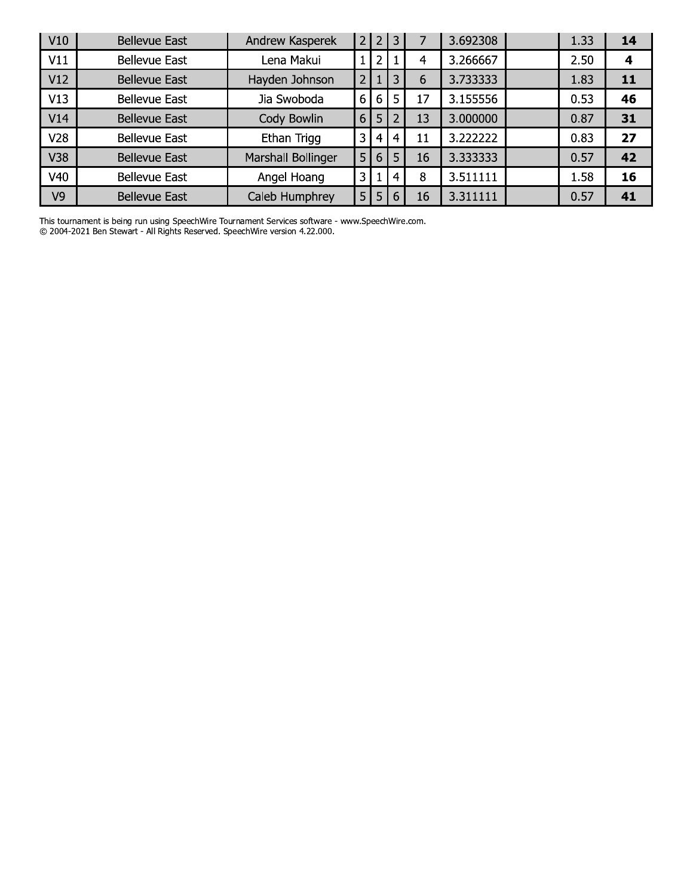| V10 | <b>Bellevue East</b> | Andrew Kasperek           | $\sqrt{2}$     | $\overline{2}$ | 3              |    | 3.692308 | 1.33 | 14 |
|-----|----------------------|---------------------------|----------------|----------------|----------------|----|----------|------|----|
| V11 | <b>Bellevue East</b> | Lena Makui                |                | 2              |                | 4  | 3.266667 | 2.50 | 4  |
| V12 | <b>Bellevue East</b> | Hayden Johnson            | $\overline{2}$ |                | 3              | 6  | 3.733333 | 1.83 | 11 |
| V13 | <b>Bellevue East</b> | Jia Swoboda               | 6              | 6              | 5              | 17 | 3.155556 | 0.53 | 46 |
| V14 | <b>Bellevue East</b> | Cody Bowlin               | 6              | 5              |                | 13 | 3.000000 | 0.87 | 31 |
| V28 | <b>Bellevue East</b> | Ethan Trigg               | 3              | 4              | $\overline{4}$ | 11 | 3.222222 | 0.83 | 27 |
| V38 | <b>Bellevue East</b> | <b>Marshall Bollinger</b> | 5              | 6              |                | 16 | 3.333333 | 0.57 | 42 |
| V40 | <b>Bellevue East</b> | Angel Hoang               | 3              |                | 4              | 8  | 3.511111 | 1.58 | 16 |
| V9  | <b>Bellevue East</b> | Caleb Humphrey            | 5              | 5              | 6              | 16 | 3.311111 | 0.57 | 41 |